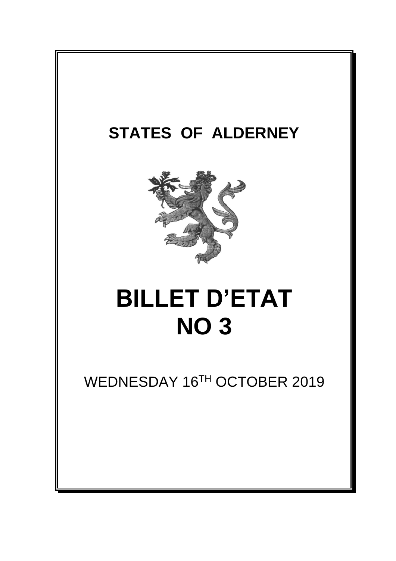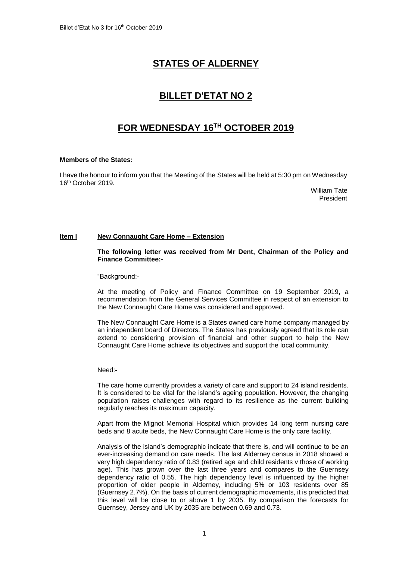# **STATES OF ALDERNEY**

## **BILLET D'ETAT NO 2**

## **FOR WEDNESDAY 16 TH OCTOBER 2019**

### **Members of the States:**

I have the honour to inform you that the Meeting of the States will be held at 5:30 pm on Wednesday 16 th October 2019.

> William Tate President

### **Item l New Connaught Care Home – Extension**

**The following letter was received from Mr Dent, Chairman of the Policy and Finance Committee:-**

"Background:-

At the meeting of Policy and Finance Committee on 19 September 2019, a recommendation from the General Services Committee in respect of an extension to the New Connaught Care Home was considered and approved.

The New Connaught Care Home is a States owned care home company managed by an independent board of Directors. The States has previously agreed that its role can extend to considering provision of financial and other support to help the New Connaught Care Home achieve its objectives and support the local community.

Need:-

The care home currently provides a variety of care and support to 24 island residents. It is considered to be vital for the island's ageing population. However, the changing population raises challenges with regard to its resilience as the current building regularly reaches its maximum capacity.

Apart from the Mignot Memorial Hospital which provides 14 long term nursing care beds and 8 acute beds, the New Connaught Care Home is the only care facility.

Analysis of the island's demographic indicate that there is, and will continue to be an ever-increasing demand on care needs. The last Alderney census in 2018 showed a very high dependency ratio of 0.83 (retired age and child residents v those of working age). This has grown over the last three years and compares to the Guernsey dependency ratio of 0.55. The high dependency level is influenced by the higher proportion of older people in Alderney, including 5% or 103 residents over 85 (Guernsey 2.7%). On the basis of current demographic movements, it is predicted that this level will be close to or above 1 by 2035. By comparison the forecasts for Guernsey, Jersey and UK by 2035 are between 0.69 and 0.73.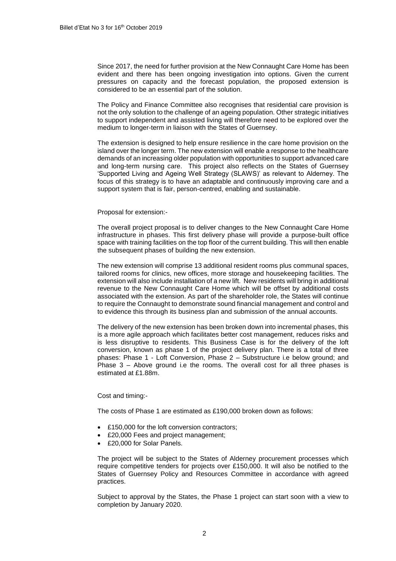Since 2017, the need for further provision at the New Connaught Care Home has been evident and there has been ongoing investigation into options. Given the current pressures on capacity and the forecast population, the proposed extension is considered to be an essential part of the solution.

The Policy and Finance Committee also recognises that residential care provision is not the only solution to the challenge of an ageing population. Other strategic initiatives to support independent and assisted living will therefore need to be explored over the medium to longer-term in liaison with the States of Guernsey.

The extension is designed to help ensure resilience in the care home provision on the island over the longer term. The new extension will enable a response to the healthcare demands of an increasing older population with opportunities to support advanced care and long-term nursing care. This project also reflects on the States of Guernsey 'Supported Living and Ageing Well Strategy (SLAWS)' as relevant to Alderney. The focus of this strategy is to have an adaptable and continuously improving care and a support system that is fair, person-centred, enabling and sustainable.

### Proposal for extension:-

The overall project proposal is to deliver changes to the New Connaught Care Home infrastructure in phases. This first delivery phase will provide a purpose-built office space with training facilities on the top floor of the current building. This will then enable the subsequent phases of building the new extension.

The new extension will comprise 13 additional resident rooms plus communal spaces, tailored rooms for clinics, new offices, more storage and housekeeping facilities. The extension will also include installation of a new lift. New residents will bring in additional revenue to the New Connaught Care Home which will be offset by additional costs associated with the extension. As part of the shareholder role, the States will continue to require the Connaught to demonstrate sound financial management and control and to evidence this through its business plan and submission of the annual accounts.

The delivery of the new extension has been broken down into incremental phases, this is a more agile approach which facilitates better cost management, reduces risks and is less disruptive to residents. This Business Case is for the delivery of the loft conversion, known as phase 1 of the project delivery plan. There is a total of three phases: Phase 1 - Loft Conversion, Phase 2 – Substructure i.e below ground; and Phase 3 – Above ground i.e the rooms. The overall cost for all three phases is estimated at £1.88m.

#### Cost and timing:-

The costs of Phase 1 are estimated as £190,000 broken down as follows:

- £150,000 for the loft conversion contractors;
- £20,000 Fees and project management;
- £20,000 for Solar Panels.

The project will be subject to the States of Alderney procurement processes which require competitive tenders for projects over £150,000. It will also be notified to the States of Guernsey Policy and Resources Committee in accordance with agreed practices.

Subject to approval by the States, the Phase 1 project can start soon with a view to completion by January 2020.